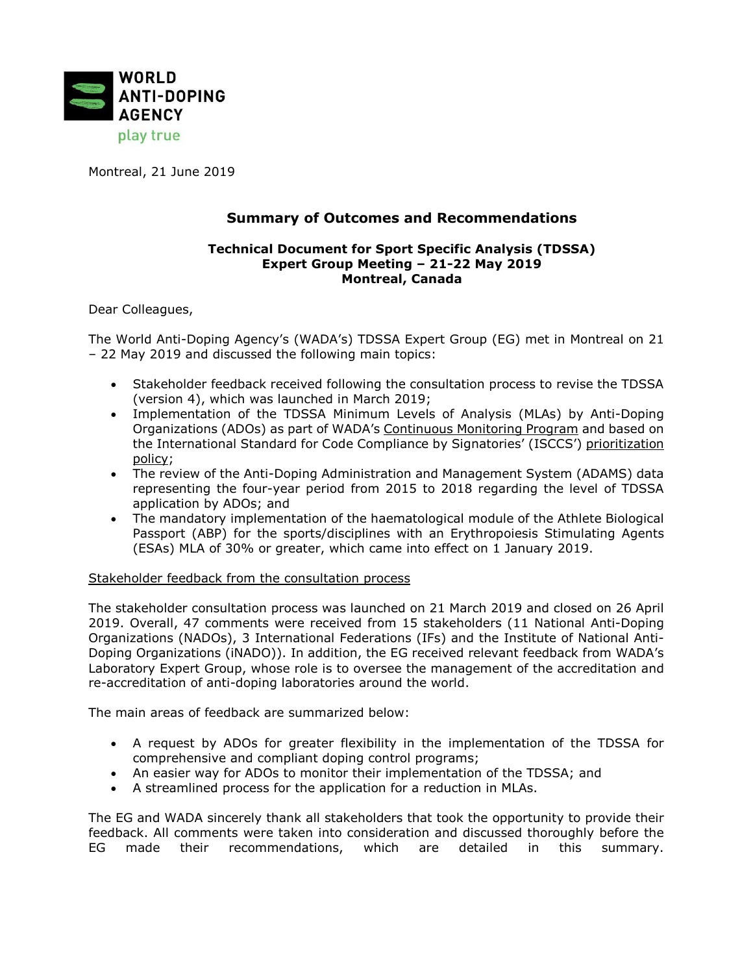

Montreal, 21 June 2019

# **Summary of Outcomes and Recommendations**

#### **Technical Document for Sport Specific Analysis (TDSSA) Expert Group Meeting – 21-22 May 2019 Montreal, Canada**

Dear Colleagues,

The World Anti-Doping Agency's (WADA's) TDSSA Expert Group (EG) met in Montreal on 21 – 22 May 2019 and discussed the following main topics:

- Stakeholder feedback received following the consultation process to revise the TDSSA (version 4), which was launched in March 2019;
- Implementation of the TDSSA Minimum Levels of Analysis (MLAs) by Anti-Doping Organizations (ADOs) as part of WADA's [Continuous](https://www.wada-ama.org/en/compliance-monitoring-program) Monitoring Program and based on the International Standard for Code Compliance by Signatories' (ISCCS') [prioritization](https://www.wada-ama.org/sites/default/files/resources/files/isccs_prioritization_policy.pdf) [policy;](https://www.wada-ama.org/sites/default/files/resources/files/isccs_prioritization_policy.pdf)
- The review of the Anti-Doping Administration and Management System (ADAMS) data representing the four-year period from 2015 to 2018 regarding the level of TDSSA application by ADOs; and
- The mandatory implementation of the haematological module of the Athlete Biological Passport (ABP) for the sports/disciplines with an Erythropoiesis Stimulating Agents (ESAs) MLA of 30% or greater, which came into effect on 1 January 2019.

Stakeholder feedback from the consultation process

The stakeholder consultation process was launched on 21 March 2019 and closed on 26 April 2019. Overall, 47 comments were received from 15 stakeholders (11 National Anti-Doping Organizations (NADOs), 3 International Federations (IFs) and the Institute of National Anti-Doping Organizations (iNADO)). In addition, the EG received relevant feedback from WADA's Laboratory Expert Group, whose role is to oversee the management of the accreditation and re-accreditation of anti-doping laboratories around the world.

The main areas of feedback are summarized below:

- A request by ADOs for greater flexibility in the implementation of the TDSSA for comprehensive and compliant doping control programs;
- An easier way for ADOs to monitor their implementation of the TDSSA; and
- A streamlined process for the application for a reduction in MLAs.

The EG and WADA sincerely thank all stakeholders that took the opportunity to provide their feedback. All comments were taken into consideration and discussed thoroughly before the EG made their recommendations, which are detailed in this summary.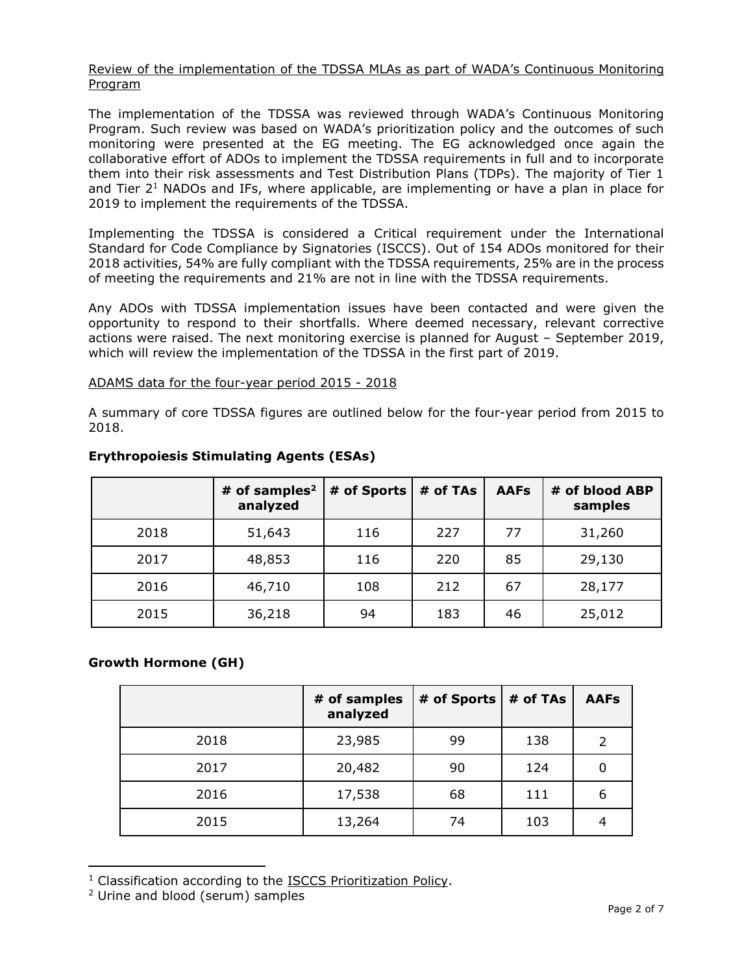#### Review of the implementation of the TDSSA MLAs as part of WADA's Continuous Monitoring Program

The implementation of the TDSSA was reviewed through WADA's Continuous Monitoring Program. Such review was based on WADA's prioritization policy and the outcomes of such monitoring were presented at the EG meeting. The EG acknowledged once again the collaborative effort of ADOs to implement the TDSSA requirements in full and to incorporate them into their risk assessments and Test Distribution Plans (TDPs). The majority of Tier 1 and Tier 2<sup>1</sup> NADOs and IFs, where applicable, are implementing or have a plan in place for 2019 to implement the requirements of the TDSSA.

Implementing the TDSSA is considered a Critical requirement under the International Standard for Code Compliance by Signatories (ISCCS). Out of 154 ADOs monitored for their 2018 activities, 54% are fully compliant with the TDSSA requirements, 25% are in the process of meeting the requirements and 21% are not in line with the TDSSA requirements.

Any ADOs with TDSSA implementation issues have been contacted and were given the opportunity to respond to their shortfalls. Where deemed necessary, relevant corrective actions were raised. The next monitoring exercise is planned for August – September 2019, which will review the implementation of the TDSSA in the first part of 2019.

#### ADAMS data for the four-year period 2015 - 2018

A summary of core TDSSA figures are outlined below for the four-year period from 2015 to 2018.

|      | # of samples $2$<br>analyzed | # of Sports | # of TAs | <b>AAFs</b> | # of blood ABP<br>samples |
|------|------------------------------|-------------|----------|-------------|---------------------------|
| 2018 | 51,643                       | 116         | 227      | 77          | 31,260                    |
| 2017 | 48,853                       | 116         | 220      | 85          | 29,130                    |
| 2016 | 46,710                       | 108         | 212      | 67          | 28,177                    |
| 2015 | 36,218                       | 94          | 183      | 46          | 25,012                    |

## **Erythropoiesis Stimulating Agents (ESAs)**

# **Growth Hormone (GH)**

|      | # of samples<br>analyzed | # of Sports $ $ # of TAs |     | <b>AAFs</b> |
|------|--------------------------|--------------------------|-----|-------------|
| 2018 | 23,985                   | 99                       | 138 | 2           |
| 2017 | 20,482                   | 90                       | 124 | 0           |
| 2016 | 17,538                   | 68                       | 111 | 6           |
| 2015 | 13,264                   | 74                       | 103 | 4           |

 $1$  Classification according to the ISCCS [Prioritization](https://www.wada-ama.org/sites/default/files/resources/files/isccs_prioritization_policy.pdf) Policy.

 $\overline{a}$ 

<sup>2</sup> Urine and blood (serum) samples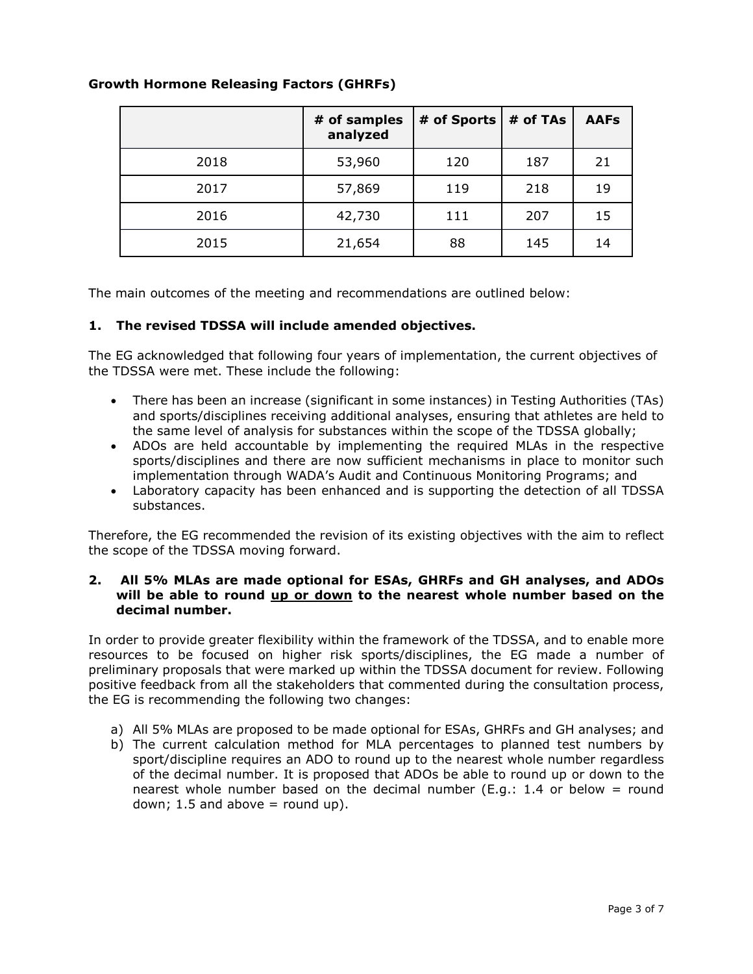|      | # of samples<br>analyzed | # of Sports | # of TAs | <b>AAFs</b> |
|------|--------------------------|-------------|----------|-------------|
| 2018 | 53,960                   | 120         | 187      | 21          |
| 2017 | 57,869                   | 119         | 218      | 19          |
| 2016 | 42,730                   | 111         | 207      | 15          |
| 2015 | 21,654                   | 88          | 145      | 14          |

## **Growth Hormone Releasing Factors (GHRFs)**

The main outcomes of the meeting and recommendations are outlined below:

## **1. The revised TDSSA will include amended objectives.**

The EG acknowledged that following four years of implementation, the current objectives of the TDSSA were met. These include the following:

- There has been an increase (significant in some instances) in Testing Authorities (TAs) and sports/disciplines receiving additional analyses, ensuring that athletes are held to the same level of analysis for substances within the scope of the TDSSA globally;
- ADOs are held accountable by implementing the required MLAs in the respective sports/disciplines and there are now sufficient mechanisms in place to monitor such implementation through WADA's Audit and Continuous Monitoring Programs; and
- Laboratory capacity has been enhanced and is supporting the detection of all TDSSA substances.

Therefore, the EG recommended the revision of its existing objectives with the aim to reflect the scope of the TDSSA moving forward.

#### **2. All 5% MLAs are made optional for ESAs, GHRFs and GH analyses, and ADOs will be able to round up or down to the nearest whole number based on the decimal number.**

In order to provide greater flexibility within the framework of the TDSSA, and to enable more resources to be focused on higher risk sports/disciplines, the EG made a number of preliminary proposals that were marked up within the TDSSA document for review. Following positive feedback from all the stakeholders that commented during the consultation process, the EG is recommending the following two changes:

- a) All 5% MLAs are proposed to be made optional for ESAs, GHRFs and GH analyses; and
- b) The current calculation method for MLA percentages to planned test numbers by sport/discipline requires an ADO to round up to the nearest whole number regardless of the decimal number. It is proposed that ADOs be able to round up or down to the nearest whole number based on the decimal number (E.g.: 1.4 or below = round down;  $1.5$  and above = round up).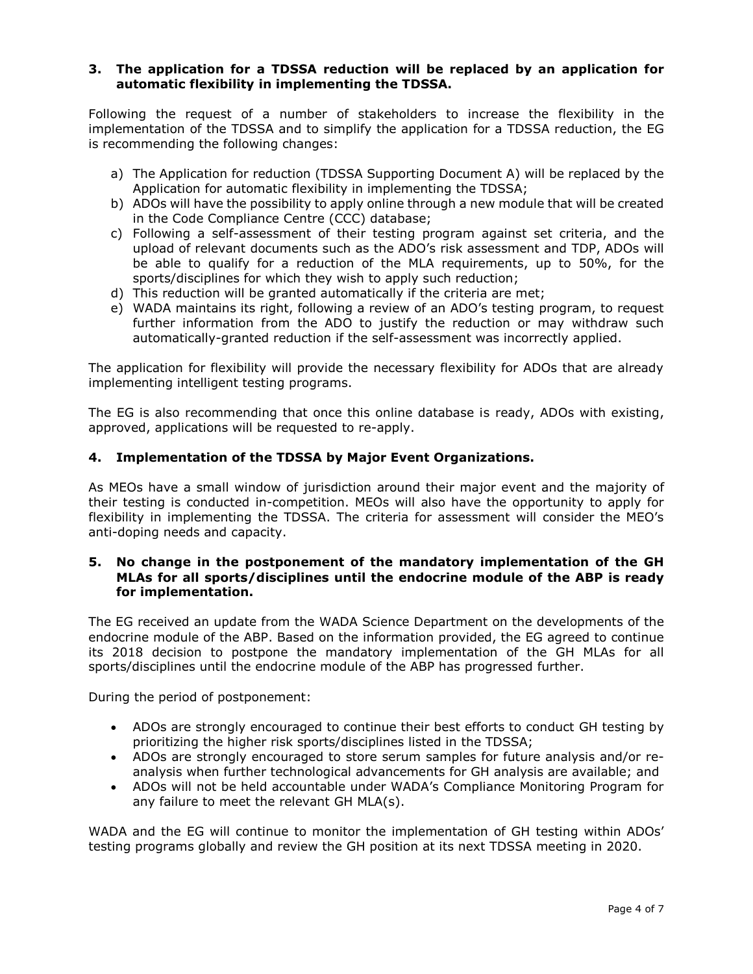#### **3. The application for a TDSSA reduction will be replaced by an application for automatic flexibility in implementing the TDSSA.**

Following the request of a number of stakeholders to increase the flexibility in the implementation of the TDSSA and to simplify the application for a TDSSA reduction, the EG is recommending the following changes:

- a) The Application for reduction (TDSSA Supporting Document A) will be replaced by the Application for automatic flexibility in implementing the TDSSA;
- b) ADOs will have the possibility to apply online through a new module that will be created in the Code Compliance Centre (CCC) database;
- c) Following a self-assessment of their testing program against set criteria, and the upload of relevant documents such as the ADO's risk assessment and TDP, ADOs will be able to qualify for a reduction of the MLA requirements, up to 50%, for the sports/disciplines for which they wish to apply such reduction;
- d) This reduction will be granted automatically if the criteria are met;
- e) WADA maintains its right, following a review of an ADO's testing program, to request further information from the ADO to justify the reduction or may withdraw such automatically-granted reduction if the self-assessment was incorrectly applied.

The application for flexibility will provide the necessary flexibility for ADOs that are already implementing intelligent testing programs.

The EG is also recommending that once this online database is ready, ADOs with existing, approved, applications will be requested to re-apply.

## **4. Implementation of the TDSSA by Major Event Organizations.**

As MEOs have a small window of jurisdiction around their major event and the majority of their testing is conducted in-competition. MEOs will also have the opportunity to apply for flexibility in implementing the TDSSA. The criteria for assessment will consider the MEO's anti-doping needs and capacity.

## **5. No change in the postponement of the mandatory implementation of the GH MLAs for all sports/disciplines until the endocrine module of the ABP is ready for implementation.**

The EG received an update from the WADA Science Department on the developments of the endocrine module of the ABP. Based on the information provided, the EG agreed to continue its 2018 decision to postpone the mandatory implementation of the GH MLAs for all sports/disciplines until the endocrine module of the ABP has progressed further.

During the period of postponement:

- ADOs are strongly encouraged to continue their best efforts to conduct GH testing by prioritizing the higher risk sports/disciplines listed in the TDSSA;
- ADOs are strongly encouraged to store serum samples for future analysis and/or reanalysis when further technological advancements for GH analysis are available; and
- ADOs will not be held accountable under WADA's Compliance Monitoring Program for any failure to meet the relevant GH MLA(s).

WADA and the EG will continue to monitor the implementation of GH testing within ADOs' testing programs globally and review the GH position at its next TDSSA meeting in 2020.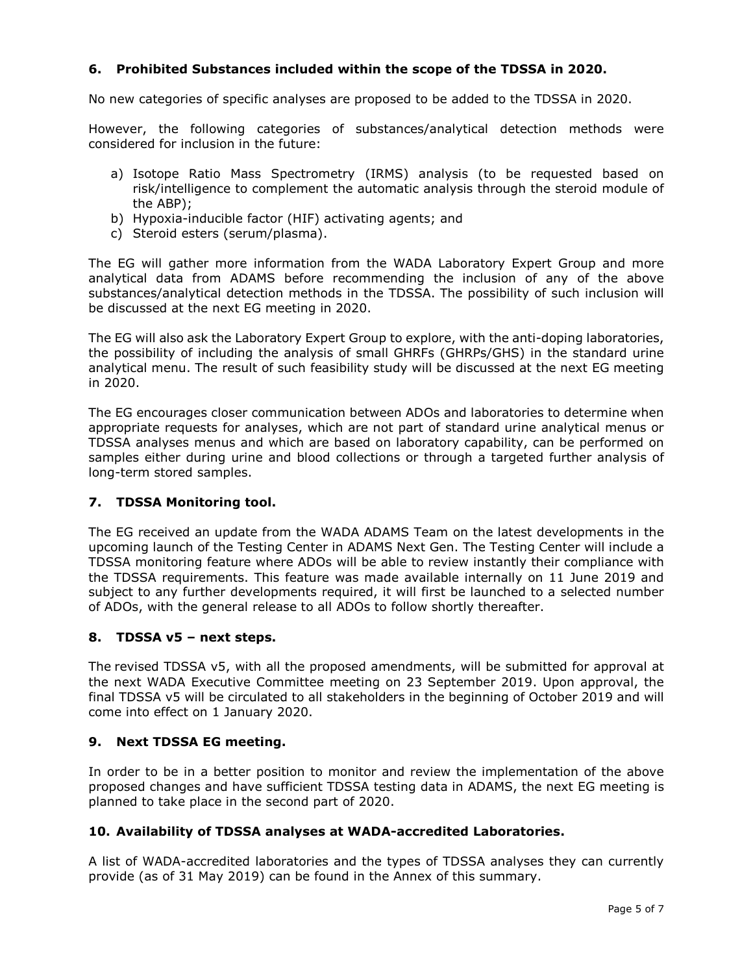## **6. Prohibited Substances included within the scope of the TDSSA in 2020.**

No new categories of specific analyses are proposed to be added to the TDSSA in 2020.

However, the following categories of substances/analytical detection methods were considered for inclusion in the future:

- a) Isotope Ratio Mass Spectrometry (IRMS) analysis (to be requested based on risk/intelligence to complement the automatic analysis through the steroid module of the ABP);
- b) Hypoxia-inducible factor (HIF) activating agents; and
- c) Steroid esters (serum/plasma).

The EG will gather more information from the WADA Laboratory Expert Group and more analytical data from ADAMS before recommending the inclusion of any of the above substances/analytical detection methods in the TDSSA. The possibility of such inclusion will be discussed at the next EG meeting in 2020.

The EG will also ask the Laboratory Expert Group to explore, with the anti-doping laboratories, the possibility of including the analysis of small GHRFs (GHRPs/GHS) in the standard urine analytical menu. The result of such feasibility study will be discussed at the next EG meeting in 2020.

The EG encourages closer communication between ADOs and laboratories to determine when appropriate requests for analyses, which are not part of standard urine analytical menus or TDSSA analyses menus and which are based on laboratory capability, can be performed on samples either during urine and blood collections or through a targeted further analysis of long-term stored samples.

## **7. TDSSA Monitoring tool.**

The EG received an update from the WADA ADAMS Team on the latest developments in the upcoming launch of the Testing Center in ADAMS Next Gen. The Testing Center will include a TDSSA monitoring feature where ADOs will be able to review instantly their compliance with the TDSSA requirements. This feature was made available internally on 11 June 2019 and subject to any further developments required, it will first be launched to a selected number of ADOs, with the general release to all ADOs to follow shortly thereafter.

#### **8. TDSSA v5 – next steps.**

The revised TDSSA v5, with all the proposed amendments, will be submitted for approval at the next WADA Executive Committee meeting on 23 September 2019. Upon approval, the final TDSSA v5 will be circulated to all stakeholders in the beginning of October 2019 and will come into effect on 1 January 2020.

## **9. Next TDSSA EG meeting.**

In order to be in a better position to monitor and review the implementation of the above proposed changes and have sufficient TDSSA testing data in ADAMS, the next EG meeting is planned to take place in the second part of 2020.

#### **10. Availability of TDSSA analyses at WADA-accredited Laboratories.**

A list of WADA-accredited laboratories and the types of TDSSA analyses they can currently provide (as of 31 May 2019) can be found in the Annex of this summary.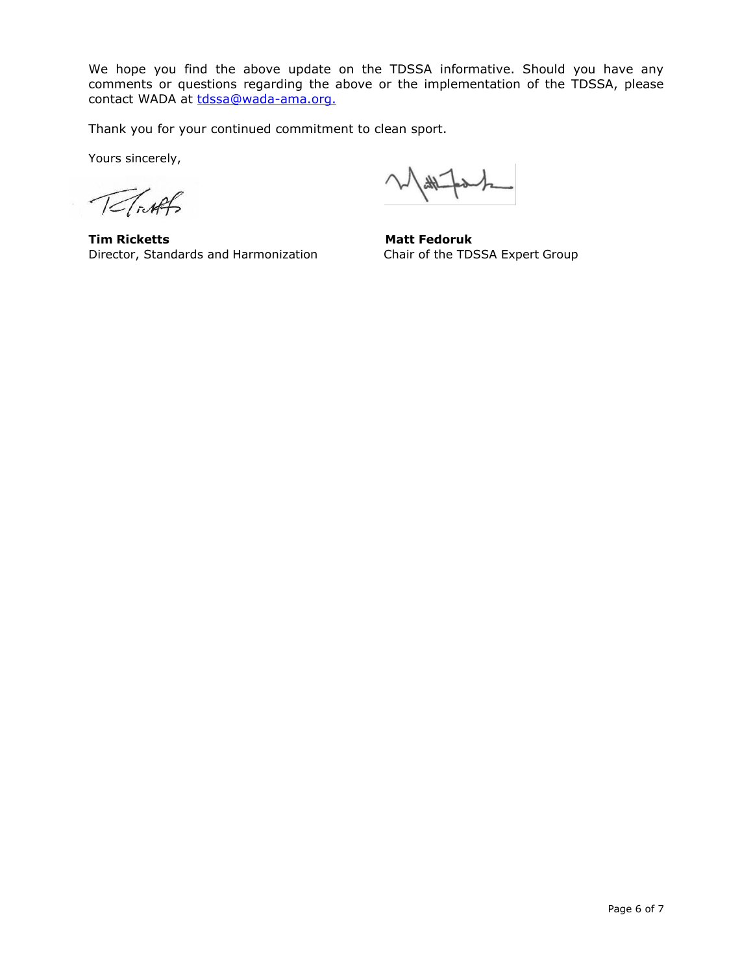We hope you find the above update on the TDSSA informative. Should you have any comments or questions regarding the above or the implementation of the TDSSA, please contact WADA at [tdssa@wada-ama.org.](mailto:tdssa@wada-ama.org)

Thank you for your continued commitment to clean sport.

Yours sincerely,

TeTiAl

**Tim Ricketts** Matt Fedoruk Director, Standards and Harmonization Chair of the TDSSA Expert Group

 $\frac{1}{4\sqrt{2}}$